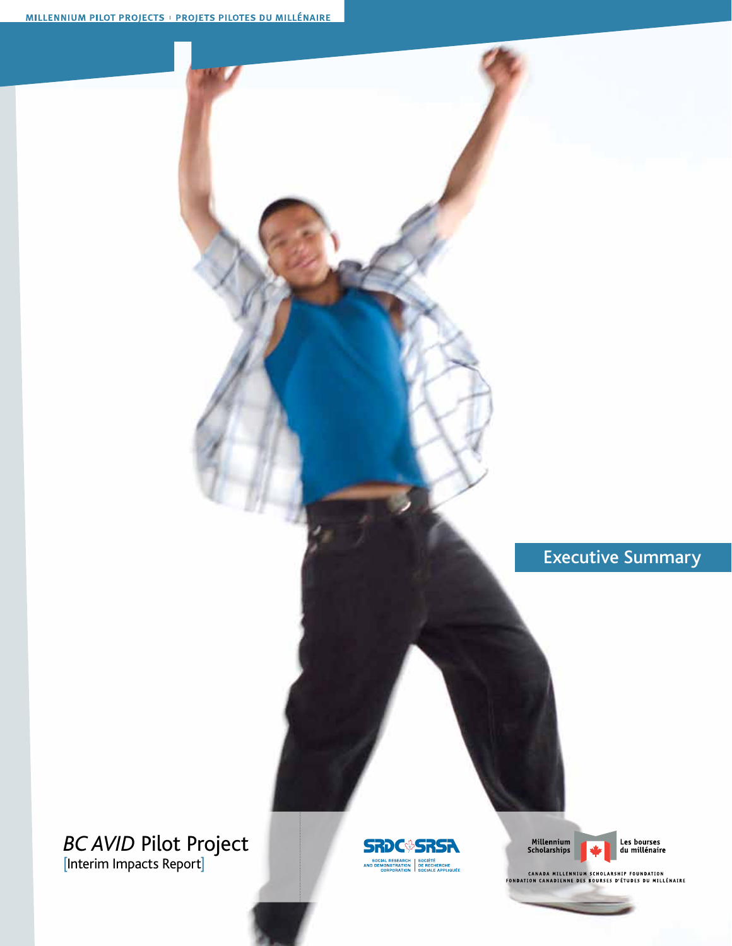## Executive Summary

### *BC AVID* Pilot Project [Interim Impacts Report]

SRDC<sup>&</sup>SRSR SOCIAL RESEARCH | SOCIÉTÉ<br>AND DEMONSTRATION | DE RECHERCHE<br>CORPORATION | SOCIALE APPLIQUÉE Millennium<br>Scholarships

Les bourses<br>du millénaire

.<br>CANADA MILLENNIUM SCHOLARSHIP FOUNDATION<br>FONDATION CANADIENNE DES BOURSES D'ÉTUDES DU MILLÉNAIRE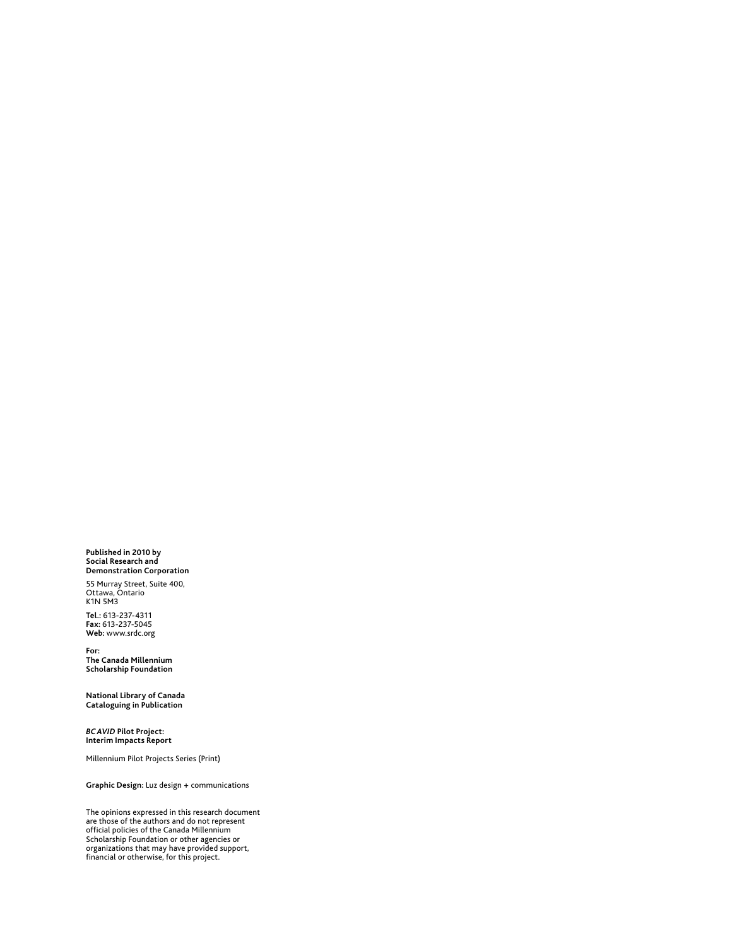**Published in 2010 by Social Research and Demonstration Corporation**

55 Murray Street, Suite 400, Ottawa, Ontario K1N 5M3

**Tel.:** 613-237-4311 **Fax:** 613-237-5045 **Web:** www.srdc.org

**For: The Canada Millennium Scholarship Foundation**

**National Library of Canada Cataloguing in Publication**

*BC AVID* **Pilot Project: Interim Impacts Report**

Millennium Pilot Projects Series (Print)

### **Graphic Design:** Luz design + communications

The opinions expressed in this research document<br>are those of the authors and do not represent<br>official policies of the Canada Millennium<br>Scholarship Foundation or other agencies or<br>organizations that may have provided sup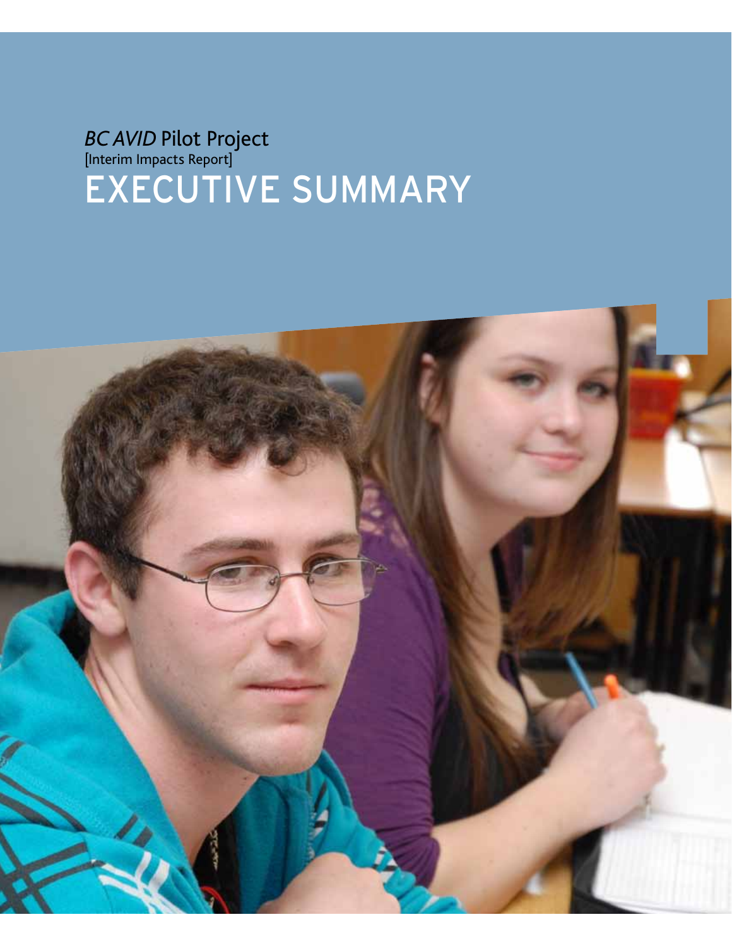# *BC AVID* Pilot Project [Interim Impacts Report] EXECUTIVE SUMMARY

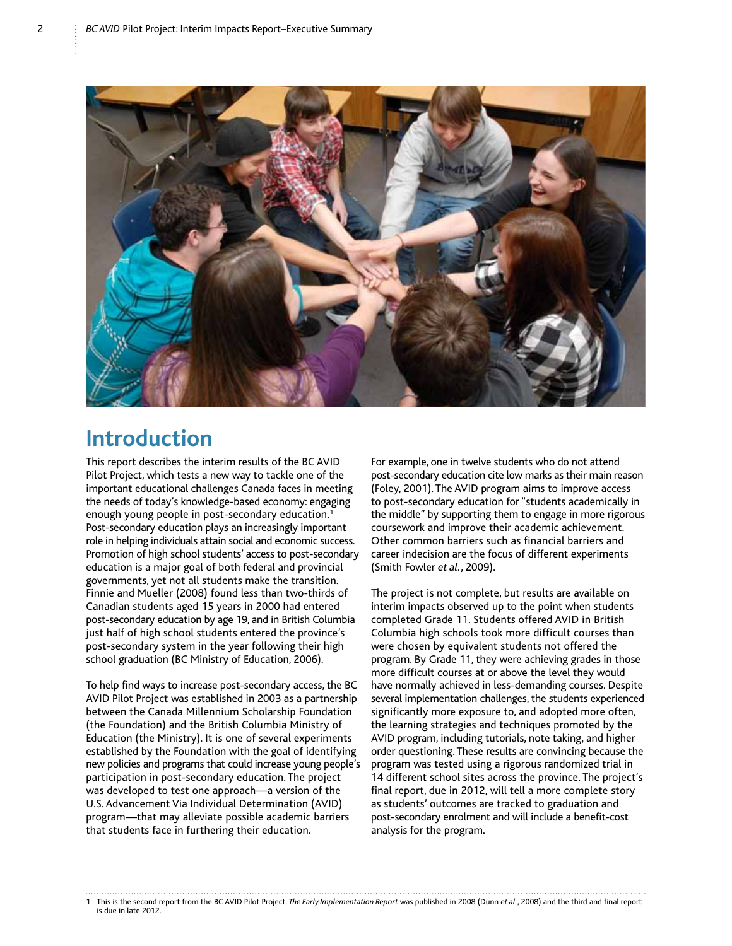

### **Introduction**

This report describes the interim results of the BC AVID Pilot Project, which tests a new way to tackle one of the important educational challenges Canada faces in meeting the needs of today's knowledge-based economy: engaging enough young people in post-secondary education.<sup>1</sup> Post-secondary education plays an increasingly important role in helping individuals attain social and economic success. Promotion of high school students' access to post-secondary education is a major goal of both federal and provincial governments, yet not all students make the transition. Finnie and Mueller (2008) found less than two-thirds of Canadian students aged 15 years in 2000 had entered post-secondary education by age 19, and in British Columbia just half of high school students entered the province's post-secondary system in the year following their high school graduation (BC Ministry of Education, 2006).

To help find ways to increase post-secondary access, the BC AVID Pilot Project was established in 2003 as a partnership between the Canada Millennium Scholarship Foundation (the Foundation) and the British Columbia Ministry of Education (the Ministry). It is one of several experiments established by the Foundation with the goal of identifying new policies and programs that could increase young people's participation in post-secondary education. The project was developed to test one approach—a version of the U.S. Advancement Via Individual Determination (AVID) program—that may alleviate possible academic barriers that students face in furthering their education.

For example, one in twelve students who do not attend post-secondary education cite low marks as their main reason (Foley, 2001). The AVID program aims to improve access to post-secondary education for "students academically in the middle" by supporting them to engage in more rigorous coursework and improve their academic achievement. Other common barriers such as financial barriers and career indecision are the focus of different experiments (Smith Fowler *et al.*, 2009).

The project is not complete, but results are available on interim impacts observed up to the point when students completed Grade 11. Students offered AVID in British Columbia high schools took more difficult courses than were chosen by equivalent students not offered the program. By Grade 11, they were achieving grades in those more difficult courses at or above the level they would have normally achieved in less-demanding courses. Despite several implementation challenges, the students experienced significantly more exposure to, and adopted more often, the learning strategies and techniques promoted by the AVID program, including tutorials, note taking, and higher order questioning. These results are convincing because the program was tested using a rigorous randomized trial in 14 different school sites across the province. The project's final report, due in 2012, will tell a more complete story as students' outcomes are tracked to graduation and post-secondary enrolment and will include a benefit-cost analysis for the program.

1 This is the second report from the BC AVID Pilot Project. *The Early Implementation Report* was published in 2008 (Dunn *et al.*, 2008) and the third and final report is due in late 2012.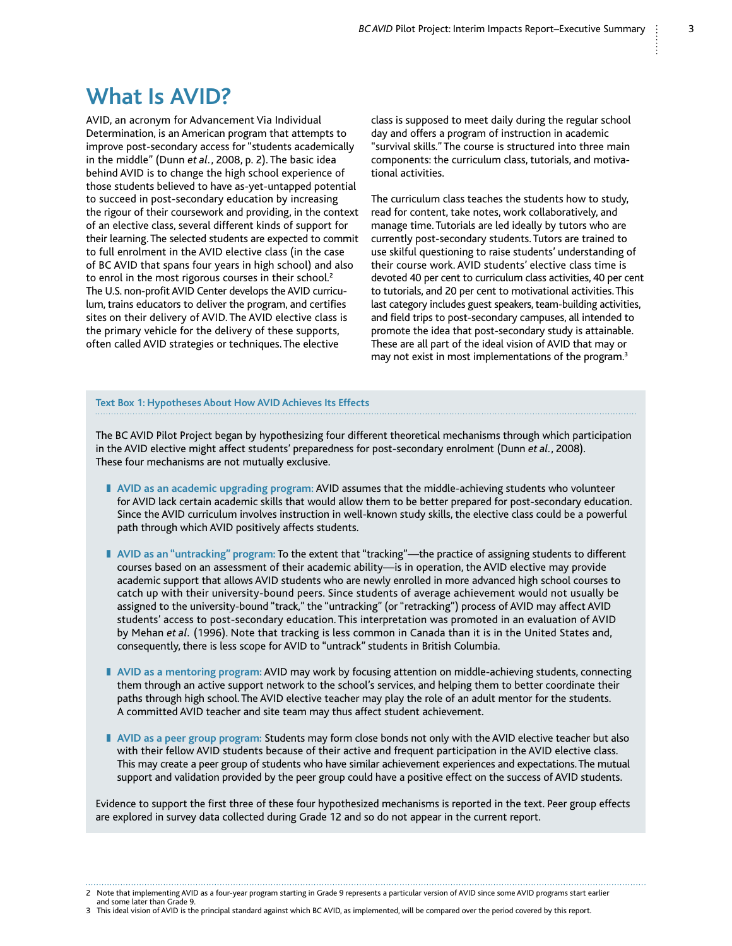### **What Is AVID?**

AVID, an acronym for Advancement Via Individual Determination, is an American program that attempts to improve post-secondary access for "students academically in the middle" (Dunn *et al.*, 2008, p. 2). The basic idea behind AVID is to change the high school experience of those students believed to have as-yet-untapped potential to succeed in post-secondary education by increasing the rigour of their coursework and providing, in the context of an elective class, several different kinds of support for their learning. The selected students are expected to commit to full enrolment in the AVID elective class (in the case of BC AVID that spans four years in high school) and also to enrol in the most rigorous courses in their school.<sup>2</sup> The U.S. non-profit AVID Center develops the AVID curriculum, trains educators to deliver the program, and certifies sites on their delivery of AVID. The AVID elective class is the primary vehicle for the delivery of these supports, often called AVID strategies or techniques. The elective

class is supposed to meet daily during the regular school day and offers a program of instruction in academic "survival skills." The course is structured into three main components: the curriculum class, tutorials, and motivational activities.

The curriculum class teaches the students how to study, read for content, take notes, work collaboratively, and manage time. Tutorials are led ideally by tutors who are currently post-secondary students. Tutors are trained to use skilful questioning to raise students' understanding of their course work. AVID students' elective class time is devoted 40 per cent to curriculum class activities, 40 per cent to tutorials, and 20 per cent to motivational activities. This last category includes guest speakers, team-building activities, and field trips to post-secondary campuses, all intended to promote the idea that post-secondary study is attainable. These are all part of the ideal vision of AVID that may or may not exist in most implementations of the program.<sup>3</sup>

#### **Text Box 1: Hypotheses About How AVID Achieves Its Effects**

The BC AVID Pilot Project began by hypothesizing four different theoretical mechanisms through which participation in the AVID elective might affect students' preparedness for post-secondary enrolment (Dunn *et al.*, 2008). These four mechanisms are not mutually exclusive.

- AVID as an academic upgrading program: AVID assumes that the middle-achieving students who volunteer for AVID lack certain academic skills that would allow them to be better prepared for post-secondary education. Since the AVID curriculum involves instruction in well-known study skills, the elective class could be a powerful path through which AVID positively affects students.
- ❚ **AVID as an "untracking" program:** To the extent that "tracking"—the practice of assigning students to different courses based on an assessment of their academic ability—is in operation, the AVID elective may provide academic support that allows AVID students who are newly enrolled in more advanced high school courses to catch up with their university-bound peers. Since students of average achievement would not usually be assigned to the university-bound "track," the "untracking" (or "retracking") process of AVID may affect AVID students' access to post-secondary education. This interpretation was promoted in an evaluation of AVID by Mehan *et al.* (1996). Note that tracking is less common in Canada than it is in the United States and, consequently, there is less scope for AVID to "untrack" students in British Columbia.
- AVID as a mentoring program: AVID may work by focusing attention on middle-achieving students, connecting them through an active support network to the school's services, and helping them to better coordinate their paths through high school. The AVID elective teacher may play the role of an adult mentor for the students. A committed AVID teacher and site team may thus affect student achievement.
- AVID as a peer group program: Students may form close bonds not only with the AVID elective teacher but also with their fellow AVID students because of their active and frequent participation in the AVID elective class. This may create a peer group of students who have similar achievement experiences and expectations. The mutual support and validation provided by the peer group could have a positive effect on the success of AVID students.

Evidence to support the first three of these four hypothesized mechanisms is reported in the text. Peer group effects are explored in survey data collected during Grade 12 and so do not appear in the current report.

3 This ideal vision of AVID is the principal standard against which BC AVID, as implemented, will be compared over the period covered by this report.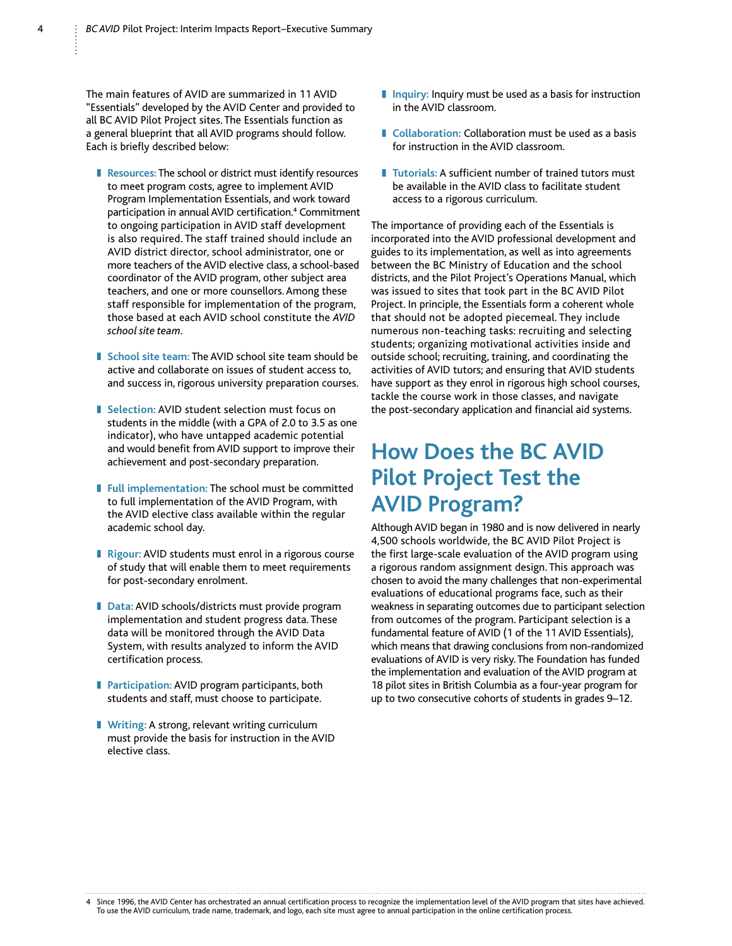The main features of AVID are summarized in 11 AVID "Essentials" developed by the AVID Center and provided to all BC AVID Pilot Project sites. The Essentials function as a general blueprint that all AVID programs should follow. Each is briefly described below:

- **Resources: The school or district must identify resources** to meet program costs, agree to implement AVID Program Implementation Essentials, and work toward participation in annual AVID certification.<sup>4</sup> Commitment to ongoing participation in AVID staff development is also required. The staff trained should include an AVID district director, school administrator, one or more teachers of the AVID elective class, a school-based coordinator of the AVID program, other subject area teachers, and one or more counsellors. Among these staff responsible for implementation of the program, those based at each AVID school constitute the *AVID school site team*.
- School site team: The AVID school site team should be active and collaborate on issues of student access to, and success in, rigorous university preparation courses.
- Selection: AVID student selection must focus on students in the middle (with a GPA of 2.0 to 3.5 as one indicator), who have untapped academic potential and would benefit from AVID support to improve their achievement and post-secondary preparation.
- **■** Full implementation: The school must be committed to full implementation of the AVID Program, with the AVID elective class available within the regular academic school day.
- **Rigour:** AVID students must enrol in a rigorous course of study that will enable them to meet requirements for post-secondary enrolment.
- Data: AVID schools/districts must provide program implementation and student progress data. These data will be monitored through the AVID Data System, with results analyzed to inform the AVID certification process.
- Participation: AVID program participants, both students and staff, must choose to participate.
- Writing: A strong, relevant writing curriculum must provide the basis for instruction in the AVID elective class.
- Inquiry: Inquiry must be used as a basis for instruction in the AVID classroom.
- **Collaboration: Collaboration must be used as a basis** for instruction in the AVID classroom.
- Tutorials: A sufficient number of trained tutors must be available in the AVID class to facilitate student access to a rigorous curriculum.

The importance of providing each of the Essentials is incorporated into the AVID professional development and guides to its implementation, as well as into agreements between the BC Ministry of Education and the school districts, and the Pilot Project's Operations Manual, which was issued to sites that took part in the BC AVID Pilot Project. In principle, the Essentials form a coherent whole that should not be adopted piecemeal. They include numerous non-teaching tasks: recruiting and selecting students; organizing motivational activities inside and outside school; recruiting, training, and coordinating the activities of AVID tutors; and ensuring that AVID students have support as they enrol in rigorous high school courses, tackle the course work in those classes, and navigate the post-secondary application and financial aid systems.

### **How Does the BC AVID Pilot Project Test the AVID Program?**

Although AVID began in 1980 and is now delivered in nearly 4,500 schools worldwide, the BC AVID Pilot Project is the first large-scale evaluation of the AVID program using a rigorous random assignment design. This approach was chosen to avoid the many challenges that non-experimental evaluations of educational programs face, such as their weakness in separating outcomes due to participant selection from outcomes of the program. Participant selection is a fundamental feature of AVID (1 of the 11 AVID Essentials), which means that drawing conclusions from non-randomized evaluations of AVID is very risky. The Foundation has funded the implementation and evaluation of the AVID program at 18 pilot sites in British Columbia as a four-year program for up to two consecutive cohorts of students in grades 9–12.

4 Since 1996, the AVID Center has orchestrated an annual certification process to recognize the implementation level of the AVID program that sites have achieved. To use the AVID curriculum, trade name, trademark, and logo, each site must agree to annual participation in the online certification process.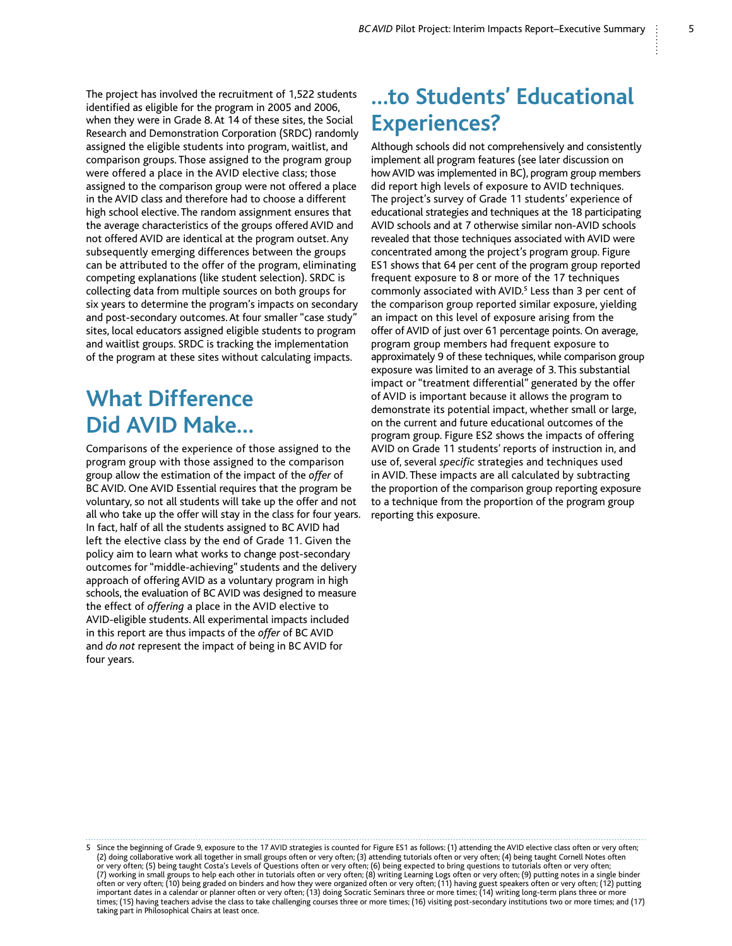The project has involved the recruitment of 1,522 students identified as eligible for the program in 2005 and 2006, when they were in Grade 8. At 14 of these sites, the Social Research and Demonstration Corporation (SRDC) randomly assigned the eligible students into program, waitlist, and comparison groups. Those assigned to the program group were offered a place in the AVID elective class; those assigned to the comparison group were not offered a place in the AVID class and therefore had to choose a different high school elective. The random assignment ensures that the average characteristics of the groups offered AVID and not offered AVID are identical at the program outset. Any subsequently emerging differences between the groups can be attributed to the offer of the program, eliminating competing explanations (like student selection). SRDC is collecting data from multiple sources on both groups for six years to determine the program's impacts on secondary and post-secondary outcomes. At four smaller "case study" sites, local educators assigned eligible students to program and waitlist groups. SRDC is tracking the implementation of the program at these sites without calculating impacts.

### **What Difference Did AVID Make…**

Comparisons of the experience of those assigned to the program group with those assigned to the comparison group allow the estimation of the impact of the *offer* of BC AVID. One AVID Essential requires that the program be voluntary, so not all students will take up the offer and not all who take up the offer will stay in the class for four years. In fact, half of all the students assigned to BC AVID had left the elective class by the end of Grade 11. Given the policy aim to learn what works to change post-secondary outcomes for "middle-achieving" students and the delivery approach of offering AVID as a voluntary program in high schools, the evaluation of BC AVID was designed to measure the effect of *offering* a place in the AVID elective to AVID-eligible students. All experimental impacts included in this report are thus impacts of the *offer* of BC AVID and *do not* represent the impact of being in BC AVID for four years.

## **…to Students' Educational Experiences?**

Although schools did not comprehensively and consistently implement all program features (see later discussion on how AVID was implemented in BC), program group members did report high levels of exposure to AVID techniques. The project's survey of Grade 11 students' experience of educational strategies and techniques at the 18 participating AVID schools and at 7 otherwise similar non-AVID schools revealed that those techniques associated with AVID were concentrated among the project's program group. Figure ES1 shows that 64 per cent of the program group reported frequent exposure to 8 or more of the 17 techniques commonly associated with AVID.<sup>5</sup> Less than 3 per cent of the comparison group reported similar exposure, yielding an impact on this level of exposure arising from the offer of AVID of just over 61 percentage points. On average, program group members had frequent exposure to approximately 9 of these techniques, while comparison group exposure was limited to an average of 3. This substantial impact or "treatment differential" generated by the offer of AVID is important because it allows the program to demonstrate its potential impact, whether small or large, on the current and future educational outcomes of the program group. Figure ES2 shows the impacts of offering AVID on Grade 11 students' reports of instruction in, and use of, several *specific* strategies and techniques used in AVID. These impacts are all calculated by subtracting the proportion of the comparison group reporting exposure to a technique from the proportion of the program group reporting this exposure.

<sup>5</sup> Since the beginning of Grade 9, exposure to the 17 AVID strategies is counted for Figure ES1 as follows: (1) attending the AVID elective class often or very often; (2) doing collaborative work all together in small groups often or very often; (3) attending tutorials often or very often; (4) being taught Cornell Notes often or very often; (5) being taught Costa's Levels of Questions often or very often; (6) being expected to bring questions to tutorials often or very often; (7) working in small groups to help each other in tutorials often or very often; (8) writing Learning Logs often or very often; (9) putting notes in a single binder often or very often; (10) being graded on binders and how they were organized often or very often; (11) having guest speakers often or very often; (12) putting<br>important dates in a calendar or planner often or very often; times; (15) having teachers advise the class to take challenging courses three or more times; (16) visiting post-secondary institutions two or more times; and (17) taking part in Philosophical Chairs at least once.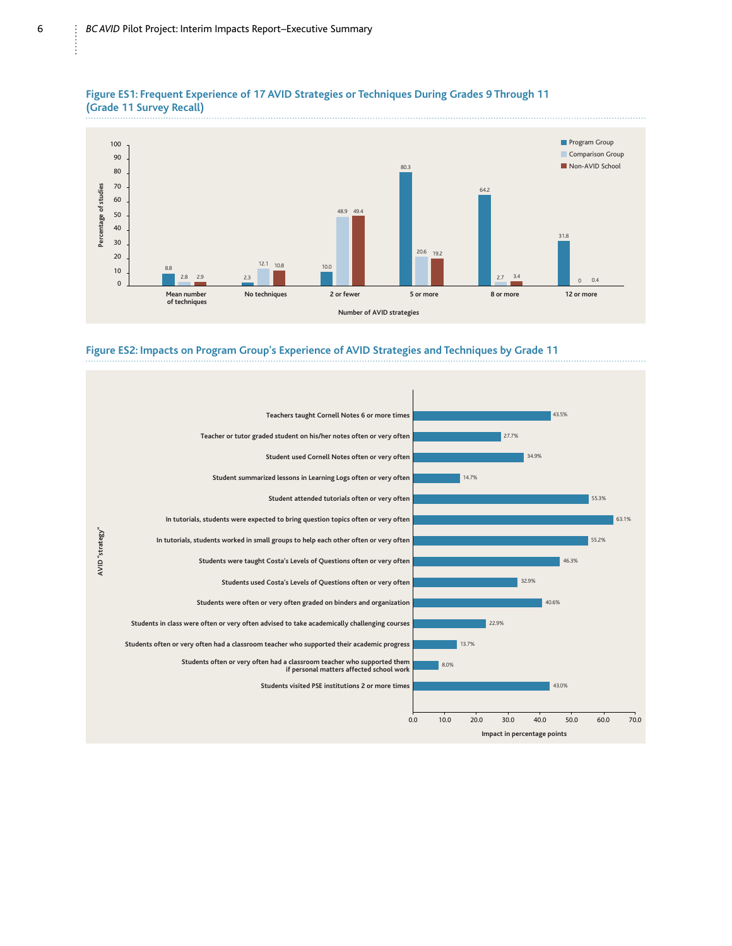### **Figure ES1: Frequent Experience of 17 AVID Strategies or Techniques During Grades 9 Through 11 (Grade 11 Survey Recall)**







 $\ddot{\cdot}$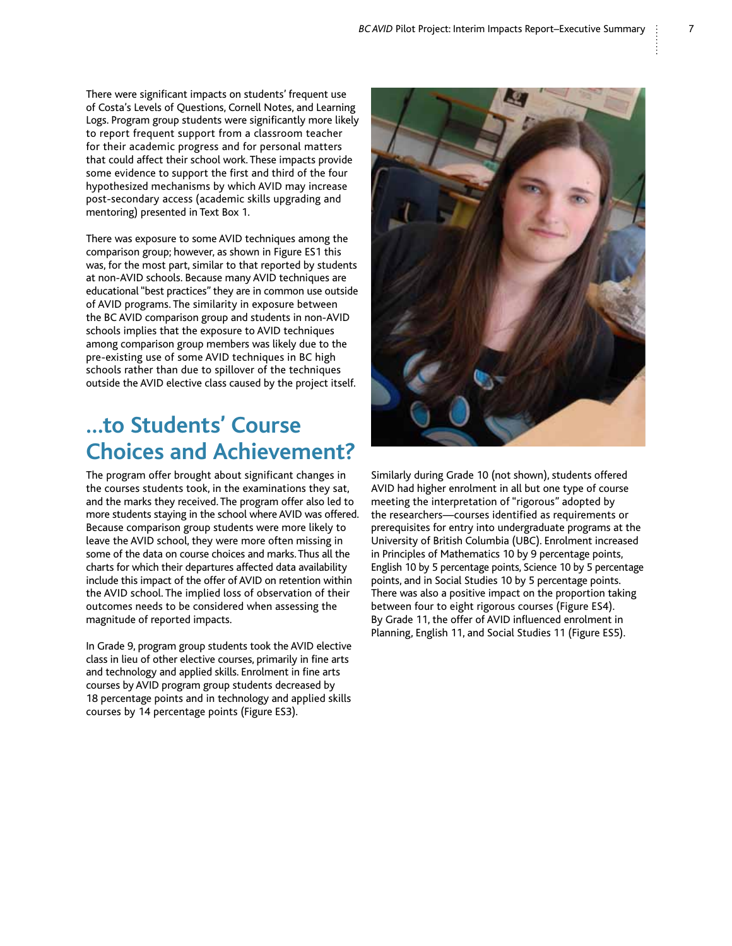There were significant impacts on students' frequent use of Costa's Levels of Questions, Cornell Notes, and Learning Logs. Program group students were significantly more likely to report frequent support from a classroom teacher for their academic progress and for personal matters that could affect their school work. These impacts provide some evidence to support the first and third of the four hypothesized mechanisms by which AVID may increase post-secondary access (academic skills upgrading and mentoring) presented in Text Box 1.

There was exposure to some AVID techniques among the comparison group; however, as shown in Figure ES1 this was, for the most part, similar to that reported by students at non-AVID schools. Because many AVID techniques are educational "best practices" they are in common use outside of AVID programs. The similarity in exposure between the BC AVID comparison group and students in non-AVID schools implies that the exposure to AVID techniques among comparison group members was likely due to the pre-existing use of some AVID techniques in BC high schools rather than due to spillover of the techniques outside the AVID elective class caused by the project itself.

### **…to Students' Course Choices and Achievement?**

The program offer brought about significant changes in the courses students took, in the examinations they sat, and the marks they received. The program offer also led to more students staying in the school where AVID was offered. Because comparison group students were more likely to leave the AVID school, they were more often missing in some of the data on course choices and marks. Thus all the charts for which their departures affected data availability include this impact of the offer of AVID on retention within the AVID school. The implied loss of observation of their outcomes needs to be considered when assessing the magnitude of reported impacts.

In Grade 9, program group students took the AVID elective class in lieu of other elective courses, primarily in fine arts and technology and applied skills. Enrolment in fine arts courses by AVID program group students decreased by 18 percentage points and in technology and applied skills courses by 14 percentage points (Figure ES3).



Similarly during Grade 10 (not shown), students offered AVID had higher enrolment in all but one type of course meeting the interpretation of "rigorous" adopted by the researchers—courses identified as requirements or prerequisites for entry into undergraduate programs at the University of British Columbia (UBC). Enrolment increased in Principles of Mathematics 10 by 9 percentage points, English 10 by 5 percentage points, Science 10 by 5 percentage points, and in Social Studies 10 by 5 percentage points. There was also a positive impact on the proportion taking between four to eight rigorous courses (Figure ES4). By Grade 11, the offer of AVID influenced enrolment in Planning, English 11, and Social Studies 11 (Figure ES5).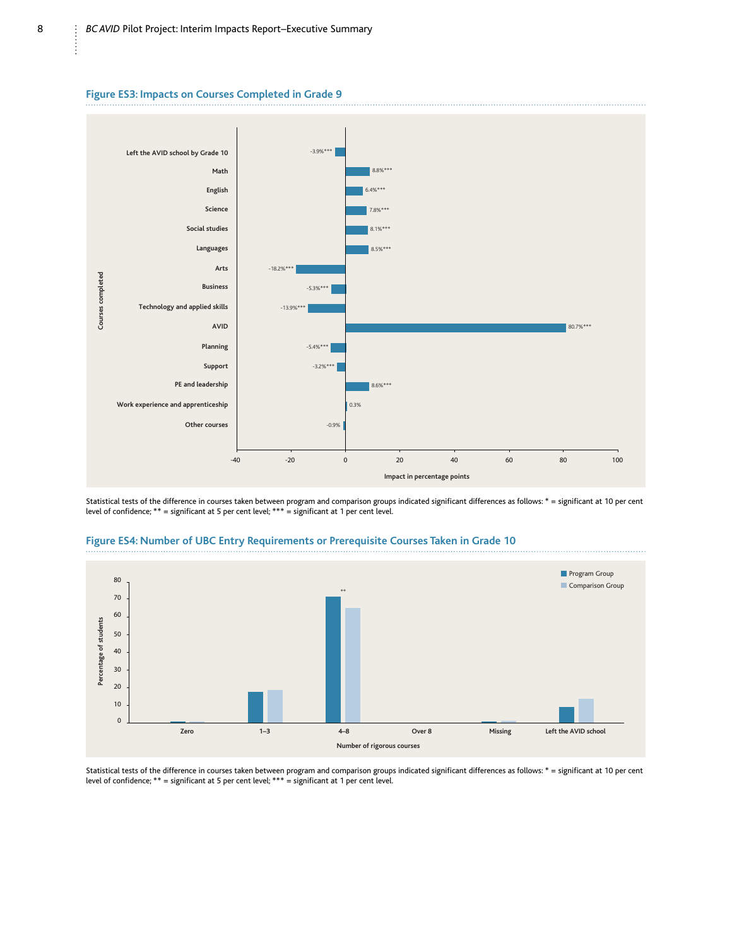### **Figure ES3: Impacts on Courses Completed in Grade 9**



Statistical tests of the difference in courses taken between program and comparison groups indicated significant differences as follows: \* = significant at 10 per cent level of confidence; \*\* = significant at 5 per cent level; \*\*\* = significant at 1 per cent level.



### **Figure ES4: Number of UBC Entry Requirements or Prerequisite Courses Taken in Grade 10**

Statistical tests of the difference in courses taken between program and comparison groups indicated significant differences as follows: \* = significant at 10 per cent level of confidence; \*\* = significant at 5 per cent level; \*\*\* = significant at 1 per cent level.

 $\vdots$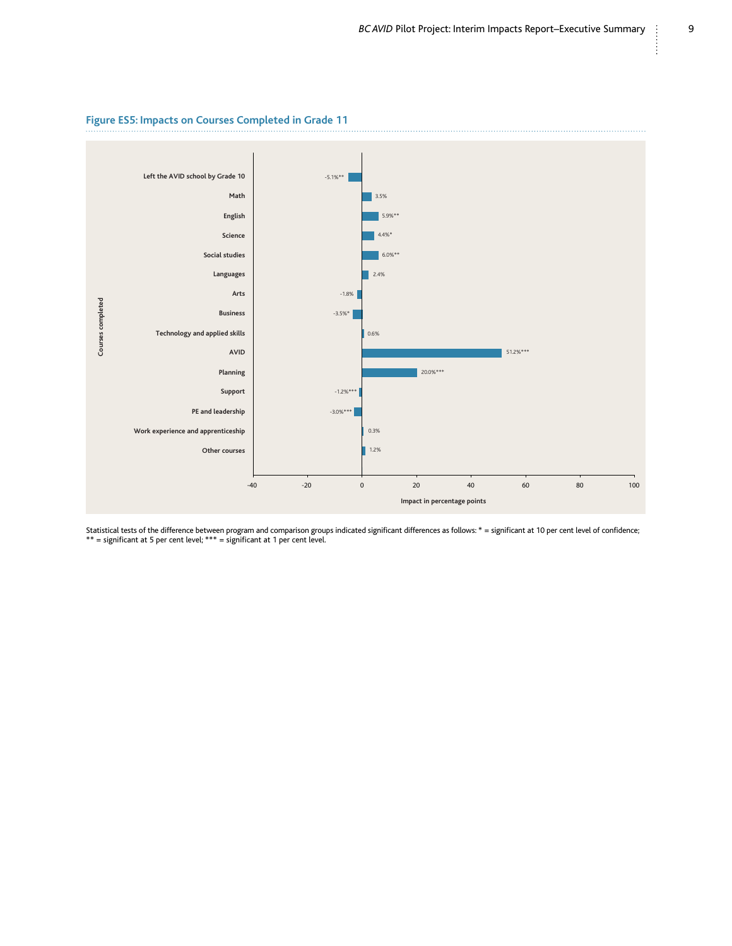

Statistical tests of the difference between program and comparison groups indicated significant differences as follows: \* = significant at 10 per cent level of confidence; \*\* = significant at 5 per cent level; \*\*\* = significant at 1 per cent level.

ŧ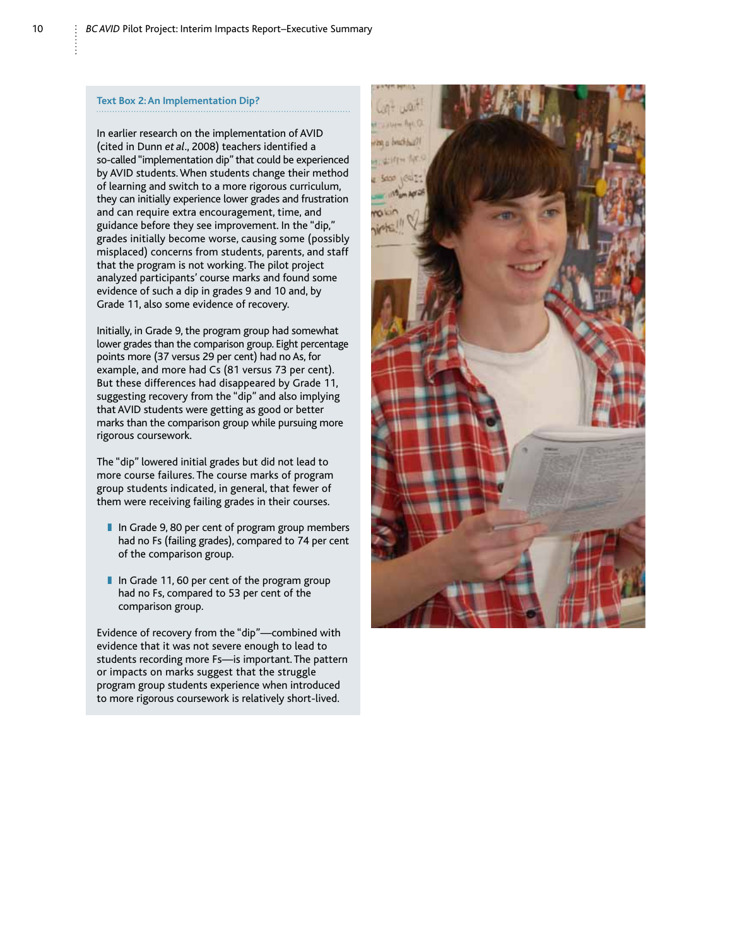### **Text Box 2: An Implementation Dip?**

In earlier research on the implementation of AVID (cited in Dunn *et al*., 2008) teachers identified a so-called "implementation dip" that could be experienced by AVID students. When students change their method of learning and switch to a more rigorous curriculum, they can initially experience lower grades and frustration and can require extra encouragement, time, and guidance before they see improvement. In the "dip," grades initially become worse, causing some (possibly misplaced) concerns from students, parents, and staff that the program is not working. The pilot project analyzed participants' course marks and found some evidence of such a dip in grades 9 and 10 and, by Grade 11, also some evidence of recovery.

Initially, in Grade 9, the program group had somewhat lower grades than the comparison group. Eight percentage points more (37 versus 29 per cent) had no As, for example, and more had Cs (81 versus 73 per cent). But these differences had disappeared by Grade 11, suggesting recovery from the "dip" and also implying that AVID students were getting as good or better marks than the comparison group while pursuing more rigorous coursework.

The "dip" lowered initial grades but did not lead to more course failures. The course marks of program group students indicated, in general, that fewer of them were receiving failing grades in their courses.

- In Grade 9, 80 per cent of program group members had no Fs (failing grades), compared to 74 per cent of the comparison group.
- In Grade 11, 60 per cent of the program group had no Fs, compared to 53 per cent of the comparison group.

Evidence of recovery from the "dip"—combined with evidence that it was not severe enough to lead to students recording more Fs—is important. The pattern or impacts on marks suggest that the struggle program group students experience when introduced to more rigorous coursework is relatively short-lived.

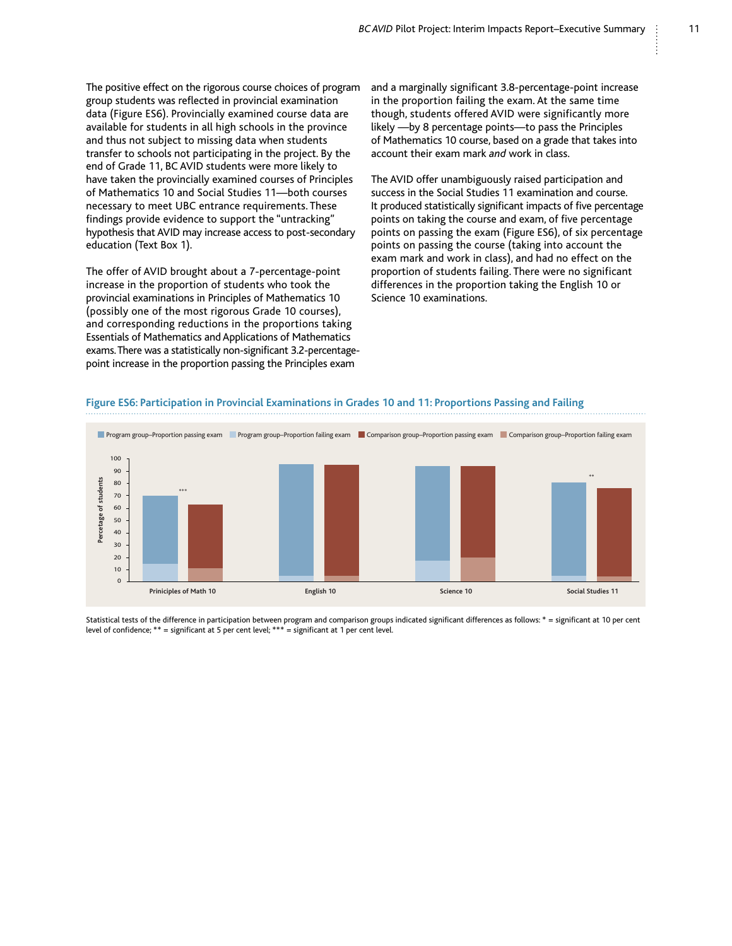The positive effect on the rigorous course choices of program group students was reflected in provincial examination data (Figure ES6). Provincially examined course data are available for students in all high schools in the province and thus not subject to missing data when students transfer to schools not participating in the project. By the end of Grade 11, BC AVID students were more likely to have taken the provincially examined courses of Principles of Mathematics 10 and Social Studies 11—both courses necessary to meet UBC entrance requirements. These findings provide evidence to support the "untracking" hypothesis that AVID may increase access to post-secondary education (Text Box 1).

The offer of AVID brought about a 7-percentage-point increase in the proportion of students who took the provincial examinations in Principles of Mathematics 10 (possibly one of the most rigorous Grade 10 courses), and corresponding reductions in the proportions taking Essentials of Mathematics and Applications of Mathematics exams. There was a statistically non-significant 3.2-percentagepoint increase in the proportion passing the Principles exam

and a marginally significant 3.8-percentage-point increase in the proportion failing the exam. At the same time though, students offered AVID were significantly more likely —by 8 percentage points—to pass the Principles of Mathematics 10 course, based on a grade that takes into account their exam mark *and* work in class.

The AVID offer unambiguously raised participation and success in the Social Studies 11 examination and course. It produced statistically significant impacts of five percentage points on taking the course and exam, of five percentage points on passing the exam (Figure ES6), of six percentage points on passing the course (taking into account the exam mark and work in class), and had no effect on the proportion of students failing. There were no significant differences in the proportion taking the English 10 or Science 10 examinations.





Statistical tests of the difference in participation between program and comparison groups indicated significant differences as follows: \* = significant at 10 per cent level of confidence; \*\* = significant at 5 per cent level; \*\*\* = significant at 1 per cent level.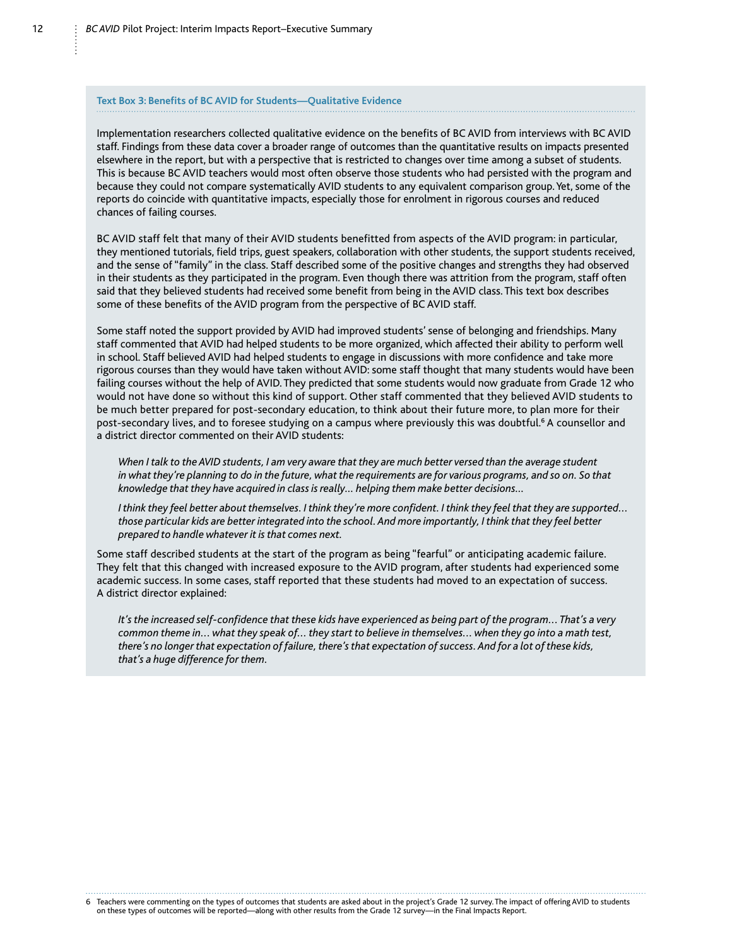#### **Text Box 3: Benefits of BC AVID for Students—Qualitative Evidence**

Implementation researchers collected qualitative evidence on the benefits of BC AVID from interviews with BC AVID staff. Findings from these data cover a broader range of outcomes than the quantitative results on impacts presented elsewhere in the report, but with a perspective that is restricted to changes over time among a subset of students. This is because BC AVID teachers would most often observe those students who had persisted with the program and because they could not compare systematically AVID students to any equivalent comparison group. Yet, some of the reports do coincide with quantitative impacts, especially those for enrolment in rigorous courses and reduced chances of failing courses.

BC AVID staff felt that many of their AVID students benefitted from aspects of the AVID program: in particular, they mentioned tutorials, field trips, guest speakers, collaboration with other students, the support students received, and the sense of "family" in the class. Staff described some of the positive changes and strengths they had observed in their students as they participated in the program. Even though there was attrition from the program, staff often said that they believed students had received some benefit from being in the AVID class. This text box describes some of these benefits of the AVID program from the perspective of BC AVID staff.

Some staff noted the support provided by AVID had improved students' sense of belonging and friendships. Many staff commented that AVID had helped students to be more organized, which affected their ability to perform well in school. Staff believed AVID had helped students to engage in discussions with more confidence and take more rigorous courses than they would have taken without AVID: some staff thought that many students would have been failing courses without the help of AVID. They predicted that some students would now graduate from Grade 12 who would not have done so without this kind of support. Other staff commented that they believed AVID students to be much better prepared for post-secondary education, to think about their future more, to plan more for their post-secondary lives, and to foresee studying on a campus where previously this was doubtful.<sup>6</sup> A counsellor and a district director commented on their AVID students:

*When I talk to the AVID students, I am very aware that they are much better versed than the average student in what they're planning to do in the future, what the requirements are for various programs, and so on. So that knowledge that they have acquired in class is really… helping them make better decisions…* 

*I think they feel better about themselves. I think they're more confident. I think they feel that they are supported... those particular kids are better integrated into the school. And more importantly, I think that they feel better prepared to handle whatever it is that comes next.* 

Some staff described students at the start of the program as being "fearful" or anticipating academic failure. They felt that this changed with increased exposure to the AVID program, after students had experienced some academic success. In some cases, staff reported that these students had moved to an expectation of success. A district director explained:

*It's the increased self-confidence that these kids have experienced as being part of the program... That's a very common theme in... what they speak of... they start to believe in themselves... when they go into a math test, there's no longer that expectation of failure, there's that expectation of success. And for a lot of these kids, that's a huge difference for them.* 

6 Teachers were commenting on the types of outcomes that students are asked about in the project's Grade 12 survey. The impact of offering AVID to students on these types of outcomes will be reported—along with other results from the Grade 12 survey—in the Final Impacts Report.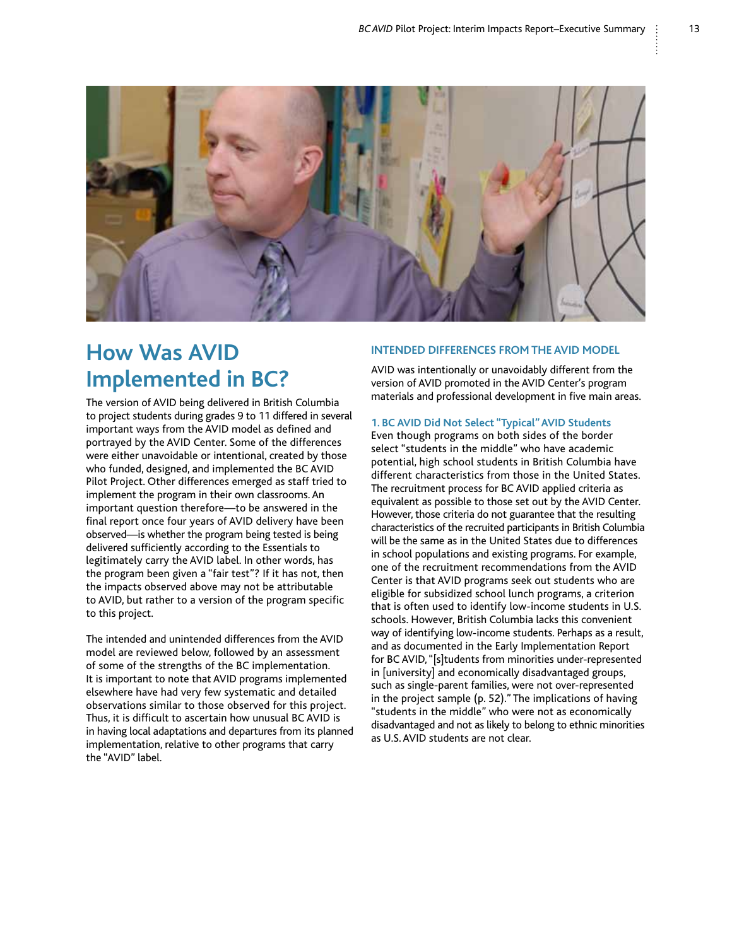

## **How Was AVID Implemented in BC?**

The version of AVID being delivered in British Columbia to project students during grades 9 to 11 differed in several important ways from the AVID model as defined and portrayed by the AVID Center. Some of the differences were either unavoidable or intentional, created by those who funded, designed, and implemented the BC AVID Pilot Project. Other differences emerged as staff tried to implement the program in their own classrooms. An important question therefore—to be answered in the final report once four years of AVID delivery have been observed—is whether the program being tested is being delivered sufficiently according to the Essentials to legitimately carry the AVID label. In other words, has the program been given a "fair test"? If it has not, then the impacts observed above may not be attributable to AVID, but rather to a version of the program specific to this project.

The intended and unintended differences from the AVID model are reviewed below, followed by an assessment of some of the strengths of the BC implementation. It is important to note that AVID programs implemented elsewhere have had very few systematic and detailed observations similar to those observed for this project. Thus, it is difficult to ascertain how unusual BC AVID is in having local adaptations and departures from its planned implementation, relative to other programs that carry the "AVID" label.

### **Intended differences from the AVID model**

AVID was intentionally or unavoidably different from the version of AVID promoted in the AVID Center's program materials and professional development in five main areas.

### **1. BC AVID Did Not Select "Typical" AVID Students**

Even though programs on both sides of the border select "students in the middle" who have academic potential, high school students in British Columbia have different characteristics from those in the United States. The recruitment process for BC AVID applied criteria as equivalent as possible to those set out by the AVID Center. However, those criteria do not guarantee that the resulting characteristics of the recruited participants in British Columbia will be the same as in the United States due to differences in school populations and existing programs. For example, one of the recruitment recommendations from the AVID Center is that AVID programs seek out students who are eligible for subsidized school lunch programs, a criterion that is often used to identify low-income students in U.S. schools. However, British Columbia lacks this convenient way of identifying low-income students. Perhaps as a result, and as documented in the Early Implementation Report for BC AVID, "[s]tudents from minorities under-represented in [university] and economically disadvantaged groups, such as single-parent families, were not over-represented in the project sample (p. 52)." The implications of having "students in the middle" who were not as economically disadvantaged and not as likely to belong to ethnic minorities as U.S. AVID students are not clear.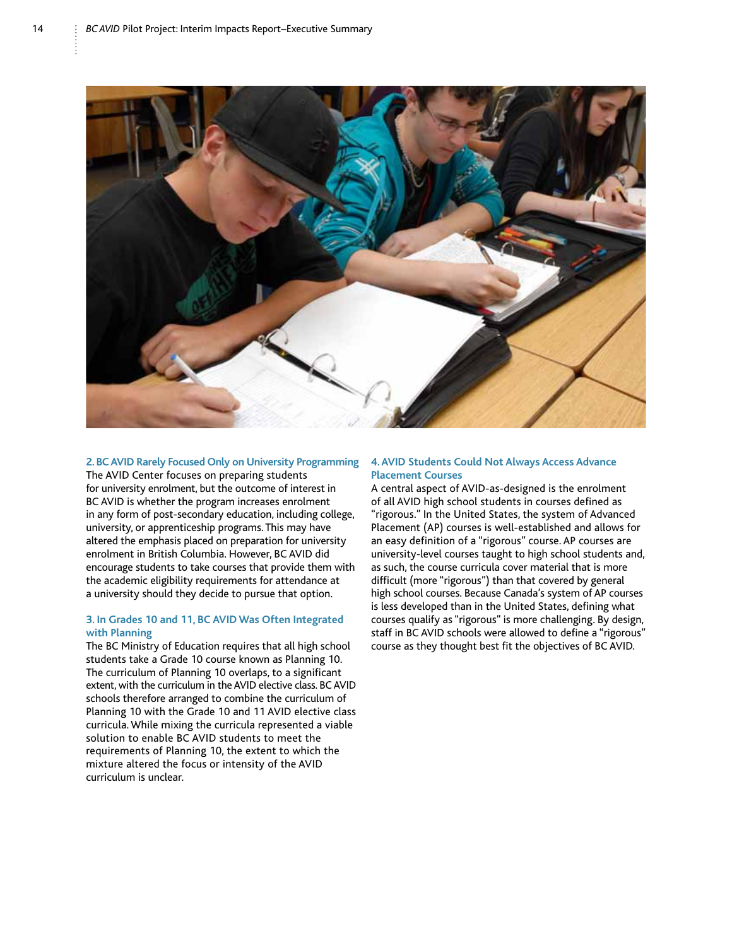

**2. BC AVID Rarely Focused Only on University Programming** The AVID Center focuses on preparing students for university enrolment, but the outcome of interest in BC AVID is whether the program increases enrolment in any form of post-secondary education, including college, university, or apprenticeship programs. This may have altered the emphasis placed on preparation for university enrolment in British Columbia. However, BC AVID did encourage students to take courses that provide them with the academic eligibility requirements for attendance at a university should they decide to pursue that option.

### **3. In Grades 10 and 11, BC AVID Was Often Integrated with Planning**

The BC Ministry of Education requires that all high school students take a Grade 10 course known as Planning 10. The curriculum of Planning 10 overlaps, to a significant extent, with the curriculum in the AVID elective class. BC AVID schools therefore arranged to combine the curriculum of Planning 10 with the Grade 10 and 11 AVID elective class curricula. While mixing the curricula represented a viable solution to enable BC AVID students to meet the requirements of Planning 10, the extent to which the mixture altered the focus or intensity of the AVID curriculum is unclear.

### **4. AVID Students Could Not Always Access Advance Placement Courses**

A central aspect of AVID-as-designed is the enrolment of all AVID high school students in courses defined as "rigorous." In the United States, the system of Advanced Placement (AP) courses is well-established and allows for an easy definition of a "rigorous" course. AP courses are university-level courses taught to high school students and, as such, the course curricula cover material that is more difficult (more "rigorous") than that covered by general high school courses. Because Canada's system of AP courses is less developed than in the United States, defining what courses qualify as "rigorous" is more challenging. By design, staff in BC AVID schools were allowed to define a "rigorous" course as they thought best fit the objectives of BC AVID.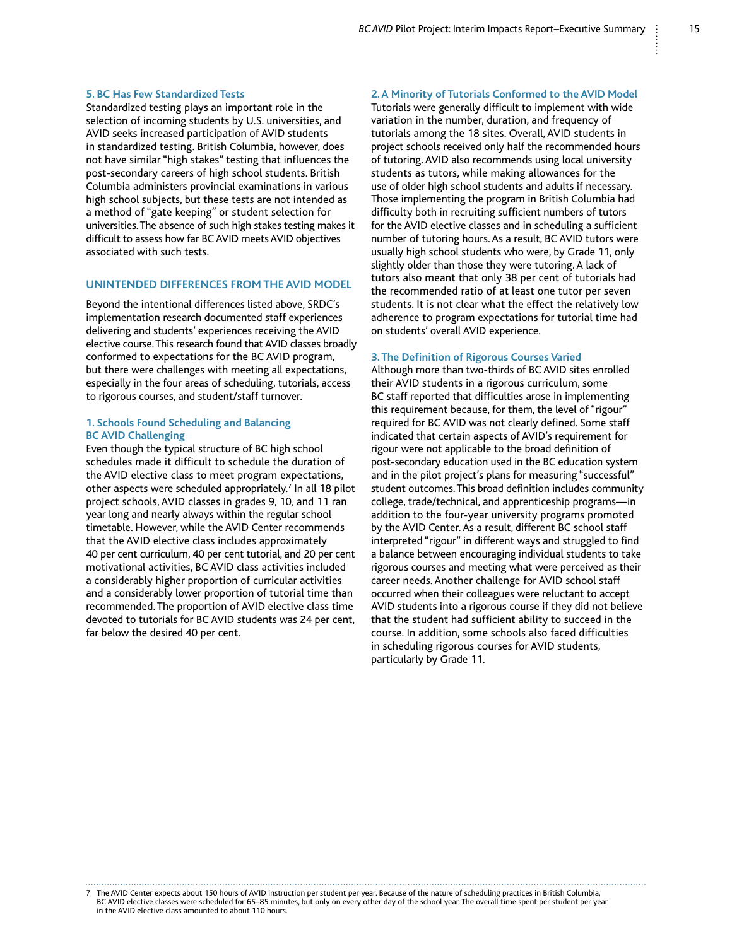#### **5. BC Has Few Standardized Tests**

Standardized testing plays an important role in the selection of incoming students by U.S. universities, and AVID seeks increased participation of AVID students in standardized testing. British Columbia, however, does not have similar "high stakes" testing that influences the post-secondary careers of high school students. British Columbia administers provincial examinations in various high school subjects, but these tests are not intended as a method of "gate keeping" or student selection for universities. The absence of such high stakes testing makes it difficult to assess how far BC AVID meets AVID objectives associated with such tests.

### **Unintended differences from the AVID model**

Beyond the intentional differences listed above, SRDC's implementation research documented staff experiences delivering and students' experiences receiving the AVID elective course. This research found that AVID classes broadly conformed to expectations for the BC AVID program, but there were challenges with meeting all expectations, especially in the four areas of scheduling, tutorials, access to rigorous courses, and student/staff turnover.

### **1. Schools Found Scheduling and Balancing BC AVID Challenging**

Even though the typical structure of BC high school schedules made it difficult to schedule the duration of the AVID elective class to meet program expectations, other aspects were scheduled appropriately.<sup>7</sup> In all 18 pilot project schools, AVID classes in grades 9, 10, and 11 ran year long and nearly always within the regular school timetable. However, while the AVID Center recommends that the AVID elective class includes approximately 40 per cent curriculum, 40 per cent tutorial, and 20 per cent motivational activities, BC AVID class activities included a considerably higher proportion of curricular activities and a considerably lower proportion of tutorial time than recommended. The proportion of AVID elective class time devoted to tutorials for BC AVID students was 24 per cent, far below the desired 40 per cent.

#### **2. A Minority of Tutorials Conformed to the AVID Model**

Tutorials were generally difficult to implement with wide variation in the number, duration, and frequency of tutorials among the 18 sites. Overall, AVID students in project schools received only half the recommended hours of tutoring. AVID also recommends using local university students as tutors, while making allowances for the use of older high school students and adults if necessary. Those implementing the program in British Columbia had difficulty both in recruiting sufficient numbers of tutors for the AVID elective classes and in scheduling a sufficient number of tutoring hours. As a result, BC AVID tutors were usually high school students who were, by Grade 11, only slightly older than those they were tutoring. A lack of tutors also meant that only 38 per cent of tutorials had the recommended ratio of at least one tutor per seven students. It is not clear what the effect the relatively low adherence to program expectations for tutorial time had on students' overall AVID experience.

#### **3. The Definition of Rigorous Courses Varied**

Although more than two-thirds of BC AVID sites enrolled their AVID students in a rigorous curriculum, some BC staff reported that difficulties arose in implementing this requirement because, for them, the level of "rigour" required for BC AVID was not clearly defined. Some staff indicated that certain aspects of AVID's requirement for rigour were not applicable to the broad definition of post-secondary education used in the BC education system and in the pilot project's plans for measuring "successful" student outcomes. This broad definition includes community college, trade/technical, and apprenticeship programs—in addition to the four-year university programs promoted by the AVID Center. As a result, different BC school staff interpreted "rigour" in different ways and struggled to find a balance between encouraging individual students to take rigorous courses and meeting what were perceived as their career needs. Another challenge for AVID school staff occurred when their colleagues were reluctant to accept AVID students into a rigorous course if they did not believe that the student had sufficient ability to succeed in the course. In addition, some schools also faced difficulties in scheduling rigorous courses for AVID students, particularly by Grade 11.

7 The AVID Center expects about 150 hours of AVID instruction per student per year. Because of the nature of scheduling practices in British Columbia, BC AVID elective classes were scheduled for 65–85 minutes, but only on every other day of the school year. The overall time spent per student per year in the AVID elective class amounted to about 110 hours.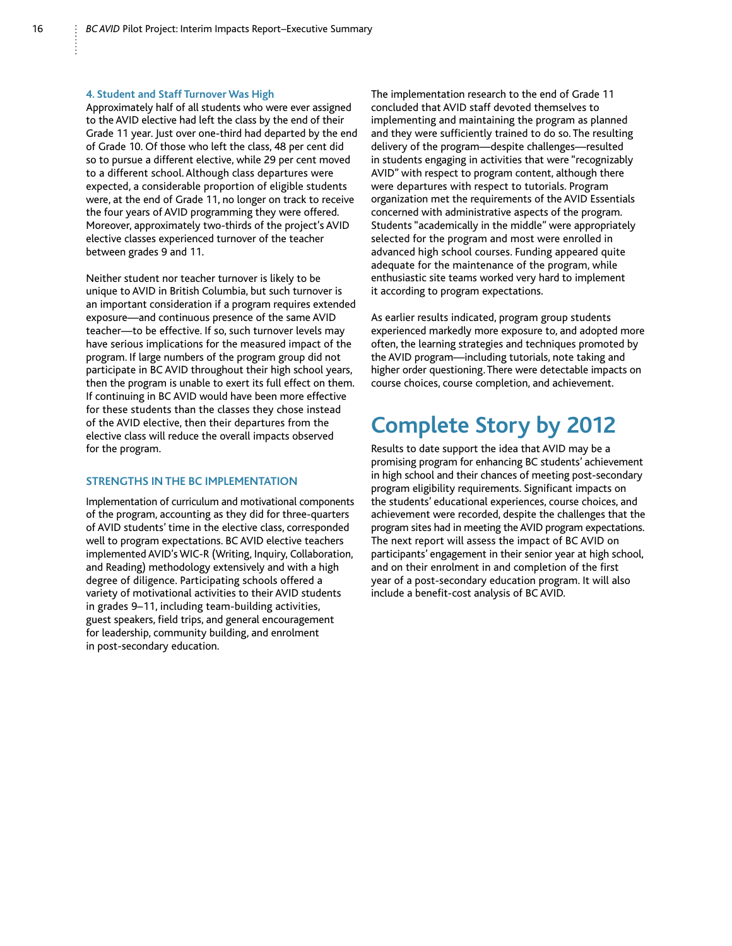#### **4. Student and Staff Turnover Was High**

Approximately half of all students who were ever assigned to the AVID elective had left the class by the end of their Grade 11 year. Just over one-third had departed by the end of Grade 10. Of those who left the class, 48 per cent did so to pursue a different elective, while 29 per cent moved to a different school. Although class departures were expected, a considerable proportion of eligible students were, at the end of Grade 11, no longer on track to receive the four years of AVID programming they were offered. Moreover, approximately two-thirds of the project's AVID elective classes experienced turnover of the teacher between grades 9 and 11.

Neither student nor teacher turnover is likely to be unique to AVID in British Columbia, but such turnover is an important consideration if a program requires extended exposure—and continuous presence of the same AVID teacher—to be effective. If so, such turnover levels may have serious implications for the measured impact of the program. If large numbers of the program group did not participate in BC AVID throughout their high school years, then the program is unable to exert its full effect on them. If continuing in BC AVID would have been more effective for these students than the classes they chose instead of the AVID elective, then their departures from the elective class will reduce the overall impacts observed for the program.

### **Strengths in the BC implementation**

Implementation of curriculum and motivational components of the program, accounting as they did for three-quarters of AVID students' time in the elective class, corresponded well to program expectations. BC AVID elective teachers implemented AVID's WIC-R (Writing, Inquiry, Collaboration, and Reading) methodology extensively and with a high degree of diligence. Participating schools offered a variety of motivational activities to their AVID students in grades 9–11, including team-building activities, guest speakers, field trips, and general encouragement for leadership, community building, and enrolment in post-secondary education.

The implementation research to the end of Grade 11 concluded that AVID staff devoted themselves to implementing and maintaining the program as planned and they were sufficiently trained to do so. The resulting delivery of the program—despite challenges—resulted in students engaging in activities that were "recognizably AVID" with respect to program content, although there were departures with respect to tutorials. Program organization met the requirements of the AVID Essentials concerned with administrative aspects of the program. Students "academically in the middle" were appropriately selected for the program and most were enrolled in advanced high school courses. Funding appeared quite adequate for the maintenance of the program, while enthusiastic site teams worked very hard to implement it according to program expectations.

As earlier results indicated, program group students experienced markedly more exposure to, and adopted more often, the learning strategies and techniques promoted by the AVID program—including tutorials, note taking and higher order questioning. There were detectable impacts on course choices, course completion, and achievement.

### **Complete Story by 2012**

Results to date support the idea that AVID may be a promising program for enhancing BC students' achievement in high school and their chances of meeting post-secondary program eligibility requirements. Significant impacts on the students' educational experiences, course choices, and achievement were recorded, despite the challenges that the program sites had in meeting the AVID program expectations. The next report will assess the impact of BC AVID on participants' engagement in their senior year at high school, and on their enrolment in and completion of the first year of a post-secondary education program. It will also include a benefit-cost analysis of BC AVID.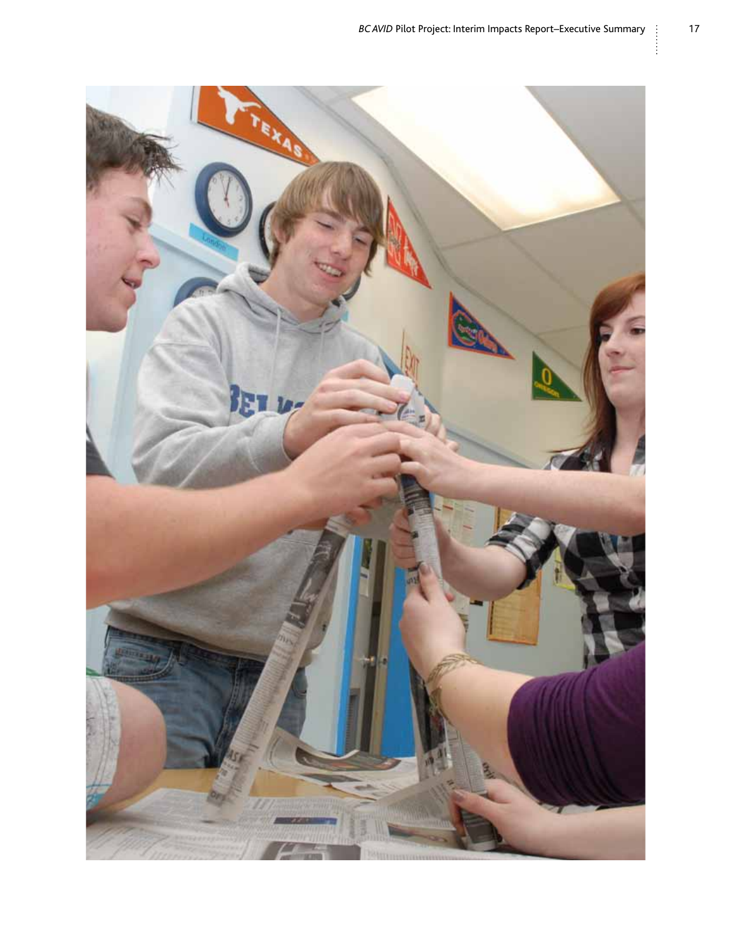